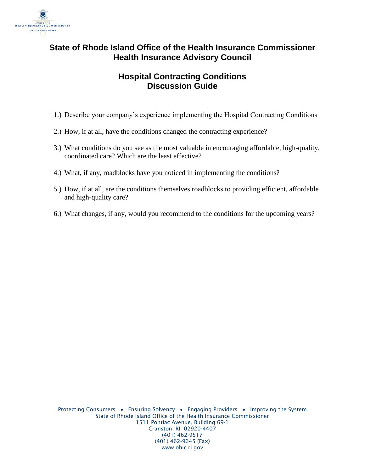

## **State of Rhode Island Office of the Health Insurance Commissioner Health Insurance Advisory Council**

## **Hospital Contracting Conditions Discussion Guide**

- 1.) Describe your company's experience implementing the Hospital Contracting Conditions
- 2.) How, if at all, have the conditions changed the contracting experience?
- 3.) What conditions do you see as the most valuable in encouraging affordable, high-quality, coordinated care? Which are the least effective?
- 4.) What, if any, roadblocks have you noticed in implementing the conditions?
- 5.) How, if at all, are the conditions themselves roadblocks to providing efficient, affordable and high-quality care?
- 6.) What changes, if any, would you recommend to the conditions for the upcoming years?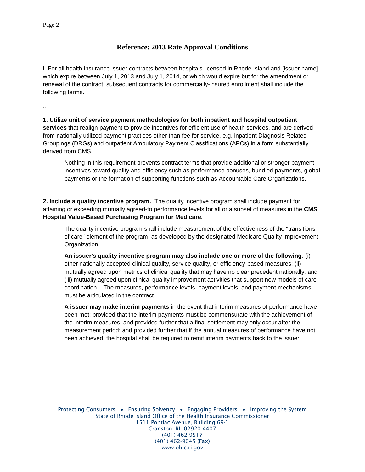## **Reference: 2013 Rate Approval Conditions**

**I.** For all health insurance issuer contracts between hospitals licensed in Rhode Island and [issuer name] which expire between July 1, 2013 and July 1, 2014, or which would expire but for the amendment or renewal of the contract, subsequent contracts for commercially-insured enrollment shall include the following terms.

…

**1. Utilize unit of service payment methodologies for both inpatient and hospital outpatient services** that realign payment to provide incentives for efficient use of health services, and are derived from nationally utilized payment practices other than fee for service, e.g. inpatient Diagnosis Related Groupings (DRGs) and outpatient Ambulatory Payment Classifications (APCs) in a form substantially derived from CMS.

Nothing in this requirement prevents contract terms that provide additional or stronger payment incentives toward quality and efficiency such as performance bonuses, bundled payments, global payments or the formation of supporting functions such as Accountable Care Organizations.

**2. Include a quality incentive program.** The quality incentive program shall include payment for attaining or exceeding mutually agreed-to performance levels for all or a subset of measures in the **CMS Hospital Value-Based Purchasing Program for Medicare.** 

The quality incentive program shall include measurement of the effectiveness of the "transitions of care" element of the program, as developed by the designated Medicare Quality Improvement Organization.

**An issuer's quality incentive program may also include one or more of the following**: (i) other nationally accepted clinical quality, service quality, or efficiency-based measures; (ii) mutually agreed upon metrics of clinical quality that may have no clear precedent nationally, and (iii) mutually agreed upon clinical quality improvement activities that support new models of care coordination. The measures, performance levels, payment levels, and payment mechanisms must be articulated in the contract.

**A issuer may make interim payments** in the event that interim measures of performance have been met; provided that the interim payments must be commensurate with the achievement of the interim measures; and provided further that a final settlement may only occur after the measurement period; and provided further that if the annual measures of performance have not been achieved, the hospital shall be required to remit interim payments back to the issuer.

Protecting Consumers • Ensuring Solvency • Engaging Providers • Improving the System State of Rhode Island Office of the Health Insurance Commissioner 1511 Pontiac Avenue, Building 69-1 Cranston, RI 02920-4407 (401) 462-9517 (401) 462-9645 (Fax) www.ohic.ri.gov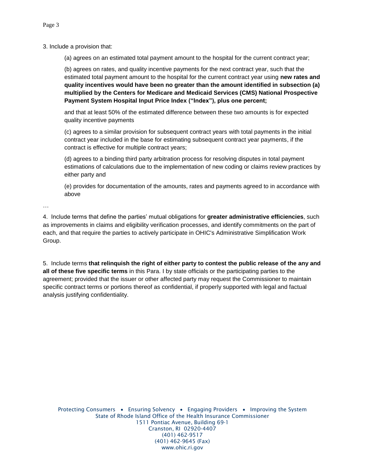3. Include a provision that:

(a) agrees on an estimated total payment amount to the hospital for the current contract year;

(b) agrees on rates, and quality incentive payments for the next contract year, such that the estimated total payment amount to the hospital for the current contract year using **new rates and quality incentives would have been no greater than the amount identified in subsection (a) multiplied by the Centers for Medicare and Medicaid Services (CMS) National Prospective Payment System Hospital Input Price Index ("Index"), plus one percent;**

and that at least 50% of the estimated difference between these two amounts is for expected quality incentive payments

(c) agrees to a similar provision for subsequent contract years with total payments in the initial contract year included in the base for estimating subsequent contract year payments, if the contract is effective for multiple contract years;

(d) agrees to a binding third party arbitration process for resolving disputes in total payment estimations of calculations due to the implementation of new coding or claims review practices by either party and

(e) provides for documentation of the amounts, rates and payments agreed to in accordance with above

…

4. Include terms that define the parties' mutual obligations for **greater administrative efficiencies**, such as improvements in claims and eligibility verification processes, and identify commitments on the part of each, and that require the parties to actively participate in OHIC's Administrative Simplification Work Group.

5. Include terms **that relinquish the right of either party to contest the public release of the any and all of these five specific terms** in this Para. I by state officials or the participating parties to the agreement; provided that the issuer or other affected party may request the Commissioner to maintain specific contract terms or portions thereof as confidential, if properly supported with legal and factual analysis justifying confidentiality.

Protecting Consumers • Ensuring Solvency • Engaging Providers • Improving the System State of Rhode Island Office of the Health Insurance Commissioner 1511 Pontiac Avenue, Building 69-1 Cranston, RI 02920-4407 (401) 462-9517 (401) 462-9645 (Fax) www.ohic.ri.gov